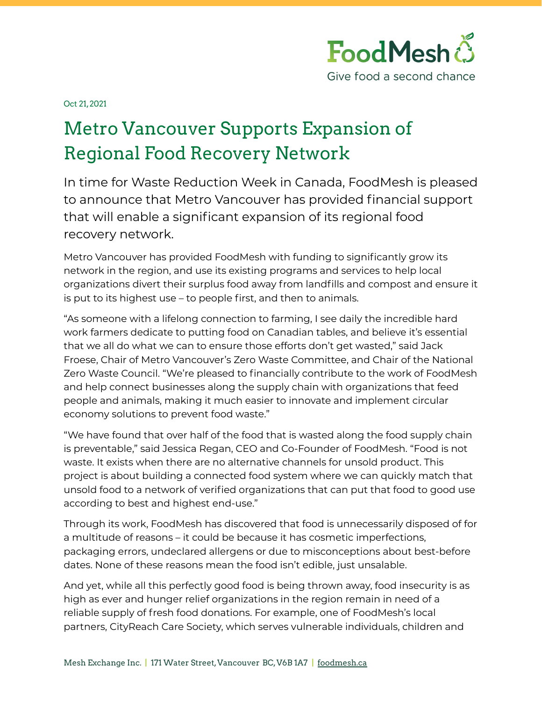

Oct 21, 2021

## Metro Vancouver Supports Expansion of Regional Food Recovery Network

In time for Waste Reduction Week in Canada, FoodMesh is pleased to announce that Metro Vancouver has provided financial support that will enable a significant expansion of its regional food recovery network.

Metro Vancouver has provided FoodMesh with funding to significantly grow its network in the region, and use its existing programs and services to help local organizations divert their surplus food away from landfills and compost and ensure it is put to its highest use – to people first, and then to animals.

"As someone with a lifelong connection to farming, I see daily the incredible hard work farmers dedicate to putting food on Canadian tables, and believe it's essential that we all do what we can to ensure those efforts don't get wasted," said Jack Froese, Chair of Metro Vancouver's Zero Waste Committee, and Chair of the National Zero Waste Council. "We're pleased to financially contribute to the work of FoodMesh and help connect businesses along the supply chain with organizations that feed people and animals, making it much easier to innovate and implement circular economy solutions to prevent food waste."

"We have found that over half of the food that is wasted along the food supply chain is preventable," said Jessica Regan, CEO and Co-Founder of FoodMesh. "Food is not waste. It exists when there are no alternative channels for unsold product. This project is about building a connected food system where we can quickly match that unsold food to a network of verified organizations that can put that food to good use according to best and highest end-use."

Through its work, FoodMesh has discovered that food is unnecessarily disposed of for a multitude of reasons – it could be because it has cosmetic imperfections, packaging errors, undeclared allergens or due to misconceptions about best-before dates. None of these reasons mean the food isn't edible, just unsalable.

And yet, while all this perfectly good food is being thrown away, food insecurity is as high as ever and hunger relief organizations in the region remain in need of a reliable supply of fresh food donations. For example, one of FoodMesh's local partners, CityReach Care Society, which serves vulnerable individuals, children and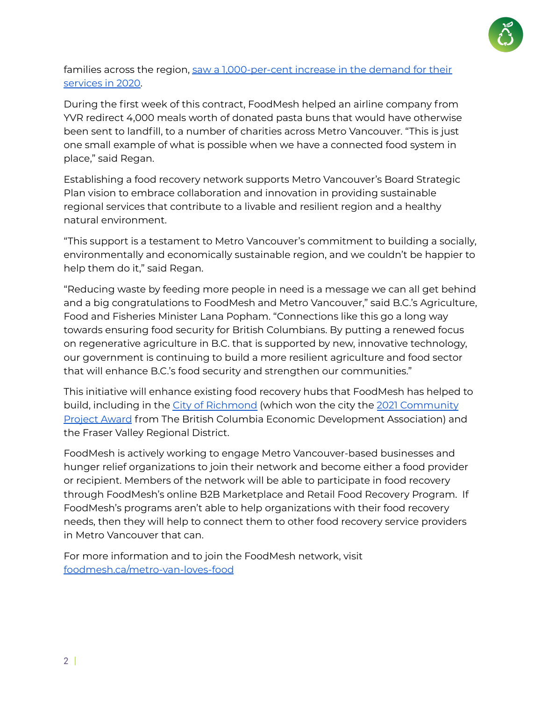

## families across the region, saw a [1,000-per-cent](https://www.cityreach.org/impact) increase in the demand for their [services](https://www.cityreach.org/impact) in 2020.

During the first week of this contract, FoodMesh helped an airline company from YVR redirect 4,000 meals worth of donated pasta buns that would have otherwise been sent to landfill, to a number of charities across Metro Vancouver. "This is just one small example of what is possible when we have a connected food system in place," said Regan.

Establishing a food recovery network supports Metro Vancouver's Board Strategic Plan vision to embrace collaboration and innovation in providing sustainable regional services that contribute to a livable and resilient region and a healthy natural environment.

"This support is a testament to Metro Vancouver's commitment to building a socially, environmentally and economically sustainable region, and we couldn't be happier to help them do it," said Regan.

"Reducing waste by feeding more people in need is a message we can all get behind and a big congratulations to FoodMesh and Metro Vancouver," said B.C.'s Agriculture, Food and Fisheries Minister Lana Popham. "Connections like this go a long way towards ensuring food security for British Columbians. By putting a renewed focus on regenerative agriculture in B.C. that is supported by new, innovative technology, our government is continuing to build a more resilient agriculture and food sector that will enhance B.C.'s food security and strengthen our communities."

This initiative will enhance existing food recovery hubs that FoodMesh has helped to build, including in the City of [Richmond](https://www.richmond.ca/newsevents/city/rmdfoodrecoveryprogram2021March02.htm) (which won the city the 2021 [Community](https://bceda.ca/news_manager.php?page=22727) [Project](https://bceda.ca/news_manager.php?page=22727) Award from The British Columbia Economic Development Association) and the Fraser Valley Regional District.

FoodMesh is actively working to engage Metro Vancouver-based businesses and hunger relief organizations to join their network and become either a food provider or recipient. Members of the network will be able to participate in food recovery through FoodMesh's online B2B Marketplace and Retail Food Recovery Program. If FoodMesh's programs aren't able to help organizations with their food recovery needs, then they will help to connect them to other food recovery service providers in Metro Vancouver that can.

For more information and to join the FoodMesh network, visit [foodmesh.ca/metro-van-loves-food](http://foodmesh.ca/metro-van-loves-food)